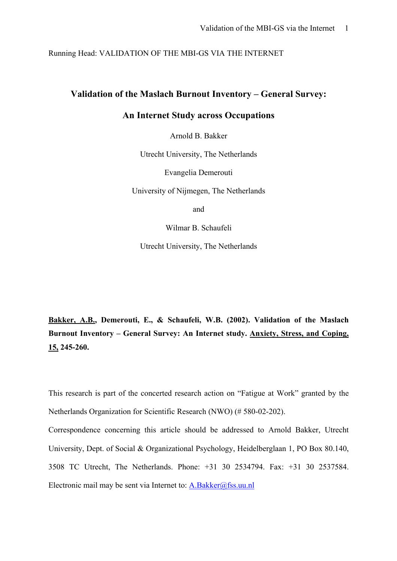Running Head: VALIDATION OF THE MBI-GS VIA THE INTERNET

## **Validation of the Maslach Burnout Inventory – General Survey:**

## **An Internet Study across Occupations**

Arnold B. Bakker

Utrecht University, The Netherlands

Evangelia Demerouti

University of Nijmegen, The Netherlands

and

Wilmar B. Schaufeli

Utrecht University, The Netherlands

**Bakker, A.B., Demerouti, E., & Schaufeli, W.B. (2002). Validation of the Maslach Burnout Inventory – General Survey: An Internet study. Anxiety, Stress, and Coping, 15, 245-260.** 

This research is part of the concerted research action on "Fatigue at Work" granted by the Netherlands Organization for Scientific Research (NWO) (# 580-02-202).

Correspondence concerning this article should be addressed to Arnold Bakker, Utrecht University, Dept. of Social & Organizational Psychology, Heidelberglaan 1, PO Box 80.140, 3508 TC Utrecht, The Netherlands. Phone: +31 30 2534794. Fax: +31 30 2537584. Electronic mail may be sent via Internet to: [A.Bakker@fss.uu.nl](mailto:A.Bakker@fss.uu.nl)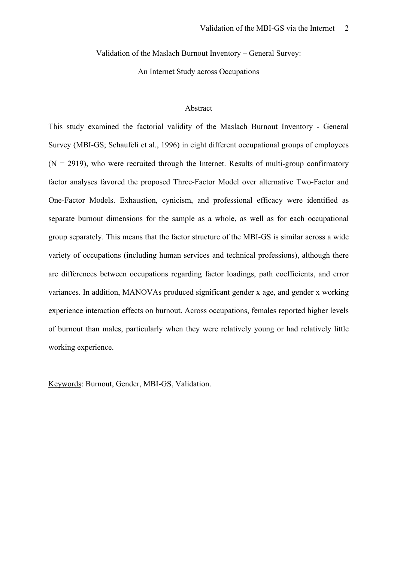Validation of the Maslach Burnout Inventory – General Survey:

An Internet Study across Occupations

#### Abstract

This study examined the factorial validity of the Maslach Burnout Inventory - General Survey (MBI-GS; Schaufeli et al., 1996) in eight different occupational groups of employees  $(N = 2919)$ , who were recruited through the Internet. Results of multi-group confirmatory factor analyses favored the proposed Three-Factor Model over alternative Two-Factor and One-Factor Models. Exhaustion, cynicism, and professional efficacy were identified as separate burnout dimensions for the sample as a whole, as well as for each occupational group separately. This means that the factor structure of the MBI-GS is similar across a wide variety of occupations (including human services and technical professions), although there are differences between occupations regarding factor loadings, path coefficients, and error variances. In addition, MANOVAs produced significant gender x age, and gender x working experience interaction effects on burnout. Across occupations, females reported higher levels of burnout than males, particularly when they were relatively young or had relatively little working experience.

Keywords: Burnout, Gender, MBI-GS, Validation.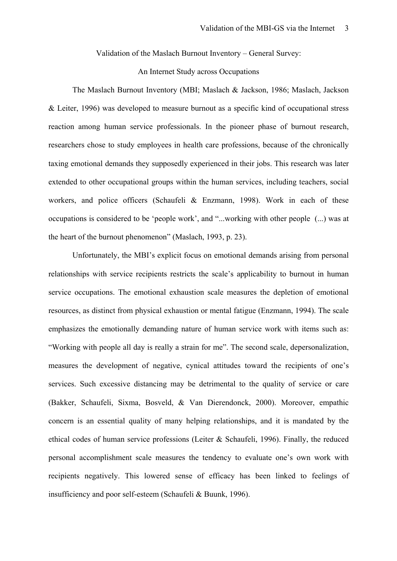Validation of the Maslach Burnout Inventory – General Survey:

#### An Internet Study across Occupations

 The Maslach Burnout Inventory (MBI; Maslach & Jackson, 1986; Maslach, Jackson & Leiter, 1996) was developed to measure burnout as a specific kind of occupational stress reaction among human service professionals. In the pioneer phase of burnout research, researchers chose to study employees in health care professions, because of the chronically taxing emotional demands they supposedly experienced in their jobs. This research was later extended to other occupational groups within the human services, including teachers, social workers, and police officers (Schaufeli & Enzmann, 1998). Work in each of these occupations is considered to be 'people work', and "...working with other people (...) was at the heart of the burnout phenomenon" (Maslach, 1993, p. 23).

 Unfortunately, the MBI's explicit focus on emotional demands arising from personal relationships with service recipients restricts the scale's applicability to burnout in human service occupations. The emotional exhaustion scale measures the depletion of emotional resources, as distinct from physical exhaustion or mental fatigue (Enzmann, 1994). The scale emphasizes the emotionally demanding nature of human service work with items such as: "Working with people all day is really a strain for me". The second scale, depersonalization, measures the development of negative, cynical attitudes toward the recipients of one's services. Such excessive distancing may be detrimental to the quality of service or care (Bakker, Schaufeli, Sixma, Bosveld, & Van Dierendonck, 2000). Moreover, empathic concern is an essential quality of many helping relationships, and it is mandated by the ethical codes of human service professions (Leiter & Schaufeli, 1996). Finally, the reduced personal accomplishment scale measures the tendency to evaluate one's own work with recipients negatively. This lowered sense of efficacy has been linked to feelings of insufficiency and poor self-esteem (Schaufeli & Buunk, 1996).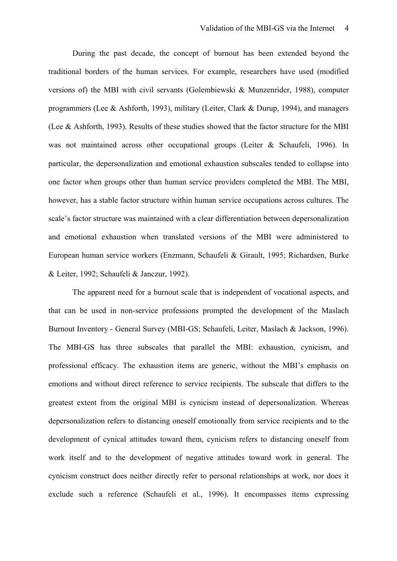During the past decade, the concept of burnout has been extended beyond the traditional borders of the human services. For example, researchers have used (modified versions of) the MBI with civil servants (Golembiewski & Munzenrider, 1988), computer programmers (Lee & Ashforth, 1993), military (Leiter, Clark & Durup, 1994), and managers (Lee & Ashforth, 1993). Results of these studies showed that the factor structure for the MBI was not maintained across other occupational groups (Leiter & Schaufeli, 1996). In particular, the depersonalization and emotional exhaustion subscales tended to collapse into one factor when groups other than human service providers completed the MBI. The MBI, however, has a stable factor structure within human service occupations across cultures. The scale's factor structure was maintained with a clear differentiation between depersonalization and emotional exhaustion when translated versions of the MBI were administered to European human service workers (Enzmann, Schaufeli & Girault, 1995; Richardsen, Burke & Leiter, 1992; Schaufeli & Janczur, 1992).

 The apparent need for a burnout scale that is independent of vocational aspects, and that can be used in non-service professions prompted the development of the Maslach Burnout Inventory - General Survey (MBI-GS; Schaufeli, Leiter, Maslach & Jackson, 1996). The MBI-GS has three subscales that parallel the MBI: exhaustion, cynicism, and professional efficacy. The exhaustion items are generic, without the MBI's emphasis on emotions and without direct reference to service recipients. The subscale that differs to the greatest extent from the original MBI is cynicism instead of depersonalization. Whereas depersonalization refers to distancing oneself emotionally from service recipients and to the development of cynical attitudes toward them, cynicism refers to distancing oneself from work itself and to the development of negative attitudes toward work in general. The cynicism construct does neither directly refer to personal relationships at work, nor does it exclude such a reference (Schaufeli et al., 1996). It encompasses items expressing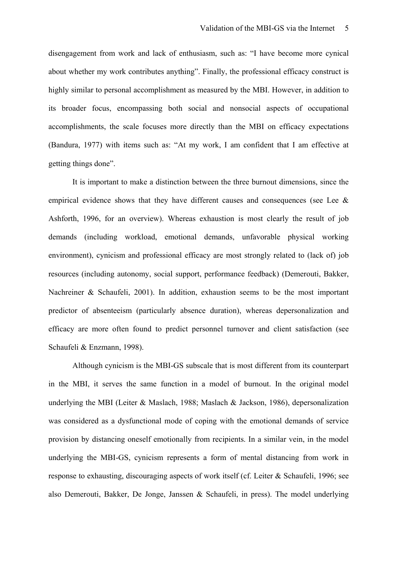disengagement from work and lack of enthusiasm, such as: "I have become more cynical about whether my work contributes anything". Finally, the professional efficacy construct is highly similar to personal accomplishment as measured by the MBI. However, in addition to its broader focus, encompassing both social and nonsocial aspects of occupational accomplishments, the scale focuses more directly than the MBI on efficacy expectations (Bandura, 1977) with items such as: "At my work, I am confident that I am effective at getting things done".

It is important to make a distinction between the three burnout dimensions, since the empirical evidence shows that they have different causes and consequences (see Lee  $\&$ Ashforth, 1996, for an overview). Whereas exhaustion is most clearly the result of job demands (including workload, emotional demands, unfavorable physical working environment), cynicism and professional efficacy are most strongly related to (lack of) job resources (including autonomy, social support, performance feedback) (Demerouti, Bakker, Nachreiner & Schaufeli, 2001). In addition, exhaustion seems to be the most important predictor of absenteeism (particularly absence duration), whereas depersonalization and efficacy are more often found to predict personnel turnover and client satisfaction (see Schaufeli & Enzmann, 1998).

 Although cynicism is the MBI-GS subscale that is most different from its counterpart in the MBI, it serves the same function in a model of burnout. In the original model underlying the MBI (Leiter & Maslach, 1988; Maslach & Jackson, 1986), depersonalization was considered as a dysfunctional mode of coping with the emotional demands of service provision by distancing oneself emotionally from recipients. In a similar vein, in the model underlying the MBI-GS, cynicism represents a form of mental distancing from work in response to exhausting, discouraging aspects of work itself (cf. Leiter & Schaufeli, 1996; see also Demerouti, Bakker, De Jonge, Janssen & Schaufeli, in press). The model underlying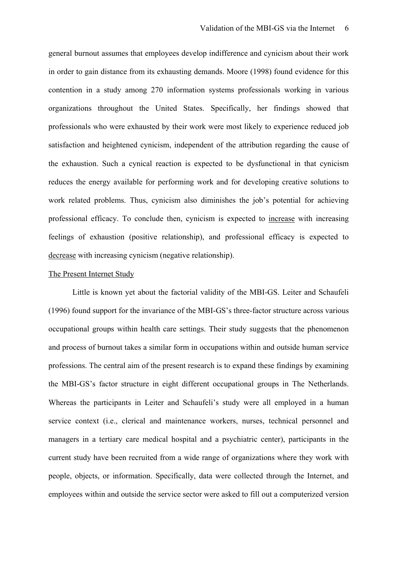general burnout assumes that employees develop indifference and cynicism about their work in order to gain distance from its exhausting demands. Moore (1998) found evidence for this contention in a study among 270 information systems professionals working in various organizations throughout the United States. Specifically, her findings showed that professionals who were exhausted by their work were most likely to experience reduced job satisfaction and heightened cynicism, independent of the attribution regarding the cause of the exhaustion. Such a cynical reaction is expected to be dysfunctional in that cynicism reduces the energy available for performing work and for developing creative solutions to work related problems. Thus, cynicism also diminishes the job's potential for achieving professional efficacy. To conclude then, cynicism is expected to increase with increasing feelings of exhaustion (positive relationship), and professional efficacy is expected to decrease with increasing cynicism (negative relationship).

## The Present Internet Study

Little is known yet about the factorial validity of the MBI-GS. Leiter and Schaufeli (1996) found support for the invariance of the MBI-GS's three-factor structure across various occupational groups within health care settings. Their study suggests that the phenomenon and process of burnout takes a similar form in occupations within and outside human service professions. The central aim of the present research is to expand these findings by examining the MBI-GS's factor structure in eight different occupational groups in The Netherlands. Whereas the participants in Leiter and Schaufeli's study were all employed in a human service context (i.e., clerical and maintenance workers, nurses, technical personnel and managers in a tertiary care medical hospital and a psychiatric center), participants in the current study have been recruited from a wide range of organizations where they work with people, objects, or information. Specifically, data were collected through the Internet, and employees within and outside the service sector were asked to fill out a computerized version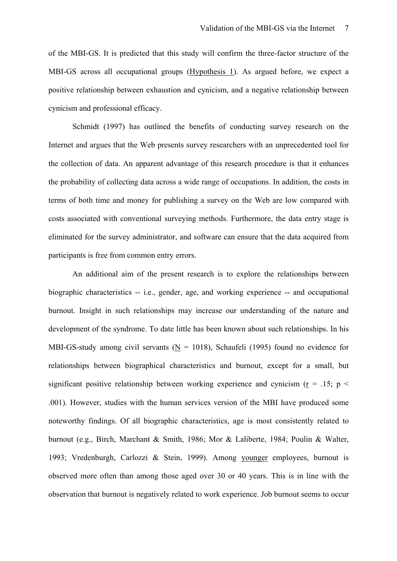of the MBI-GS. It is predicted that this study will confirm the three-factor structure of the MBI-GS across all occupational groups (Hypothesis 1). As argued before, we expect a positive relationship between exhaustion and cynicism, and a negative relationship between cynicism and professional efficacy.

Schmidt (1997) has outlined the benefits of conducting survey research on the Internet and argues that the Web presents survey researchers with an unprecedented tool for the collection of data. An apparent advantage of this research procedure is that it enhances the probability of collecting data across a wide range of occupations. In addition, the costs in terms of both time and money for publishing a survey on the Web are low compared with costs associated with conventional surveying methods. Furthermore, the data entry stage is eliminated for the survey administrator, and software can ensure that the data acquired from participants is free from common entry errors.

 An additional aim of the present research is to explore the relationships between biographic characteristics -- i.e., gender, age, and working experience -- and occupational burnout. Insight in such relationships may increase our understanding of the nature and development of the syndrome. To date little has been known about such relationships. In his MBI-GS-study among civil servants ( $N = 1018$ ), Schaufeli (1995) found no evidence for relationships between biographical characteristics and burnout, except for a small, but significant positive relationship between working experience and cynicism ( $r = 0.15$ ; p < .001). However, studies with the human services version of the MBI have produced some noteworthy findings. Of all biographic characteristics, age is most consistently related to burnout (e.g., Birch, Marchant & Smith, 1986; Mor & Laliberte, 1984; Poulin & Walter, 1993; Vredenburgh, Carlozzi & Stein, 1999). Among younger employees, burnout is observed more often than among those aged over 30 or 40 years. This is in line with the observation that burnout is negatively related to work experience. Job burnout seems to occur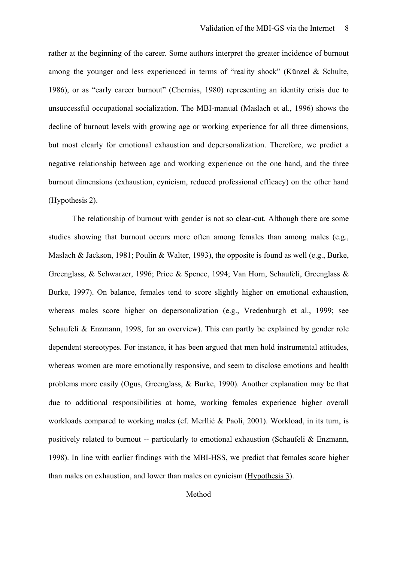rather at the beginning of the career. Some authors interpret the greater incidence of burnout among the younger and less experienced in terms of "reality shock" (Künzel & Schulte, 1986), or as "early career burnout" (Cherniss, 1980) representing an identity crisis due to unsuccessful occupational socialization. The MBI-manual (Maslach et al., 1996) shows the decline of burnout levels with growing age or working experience for all three dimensions, but most clearly for emotional exhaustion and depersonalization. Therefore, we predict a negative relationship between age and working experience on the one hand, and the three burnout dimensions (exhaustion, cynicism, reduced professional efficacy) on the other hand (Hypothesis 2).

 The relationship of burnout with gender is not so clear-cut. Although there are some studies showing that burnout occurs more often among females than among males (e.g., Maslach & Jackson, 1981; Poulin & Walter, 1993), the opposite is found as well (e.g., Burke, Greenglass, & Schwarzer, 1996; Price & Spence, 1994; Van Horn, Schaufeli, Greenglass & Burke, 1997). On balance, females tend to score slightly higher on emotional exhaustion, whereas males score higher on depersonalization (e.g., Vredenburgh et al., 1999; see Schaufeli & Enzmann, 1998, for an overview). This can partly be explained by gender role dependent stereotypes. For instance, it has been argued that men hold instrumental attitudes, whereas women are more emotionally responsive, and seem to disclose emotions and health problems more easily (Ogus, Greenglass, & Burke, 1990). Another explanation may be that due to additional responsibilities at home, working females experience higher overall workloads compared to working males (cf. Merllié & Paoli, 2001). Workload, in its turn, is positively related to burnout -- particularly to emotional exhaustion (Schaufeli & Enzmann, 1998). In line with earlier findings with the MBI-HSS, we predict that females score higher than males on exhaustion, and lower than males on cynicism (Hypothesis 3).

## Method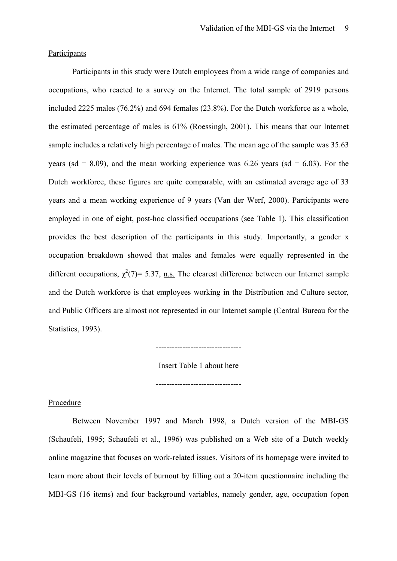#### **Participants**

 Participants in this study were Dutch employees from a wide range of companies and occupations, who reacted to a survey on the Internet. The total sample of 2919 persons included 2225 males (76.2%) and 694 females (23.8%). For the Dutch workforce as a whole, the estimated percentage of males is 61% (Roessingh, 2001). This means that our Internet sample includes a relatively high percentage of males. The mean age of the sample was 35.63 years (sd = 8.09), and the mean working experience was 6.26 years (sd = 6.03). For the Dutch workforce, these figures are quite comparable, with an estimated average age of 33 years and a mean working experience of 9 years (Van der Werf, 2000). Participants were employed in one of eight, post-hoc classified occupations (see Table 1). This classification provides the best description of the participants in this study. Importantly, a gender x occupation breakdown showed that males and females were equally represented in the different occupations,  $\chi^2(7)$ = 5.37, n.s. The clearest difference between our Internet sample and the Dutch workforce is that employees working in the Distribution and Culture sector, and Public Officers are almost not represented in our Internet sample (Central Bureau for the Statistics, 1993).

--------------------------------

Insert Table 1 about here

--------------------------------

## Procedure

 Between November 1997 and March 1998, a Dutch version of the MBI-GS (Schaufeli, 1995; Schaufeli et al., 1996) was published on a Web site of a Dutch weekly online magazine that focuses on work-related issues. Visitors of its homepage were invited to learn more about their levels of burnout by filling out a 20-item questionnaire including the MBI-GS (16 items) and four background variables, namely gender, age, occupation (open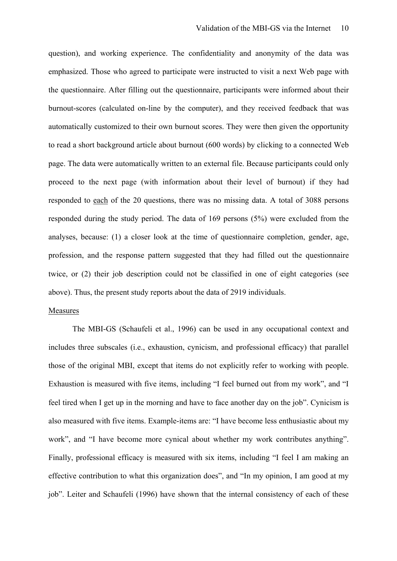question), and working experience. The confidentiality and anonymity of the data was emphasized. Those who agreed to participate were instructed to visit a next Web page with the questionnaire. After filling out the questionnaire, participants were informed about their burnout-scores (calculated on-line by the computer), and they received feedback that was automatically customized to their own burnout scores. They were then given the opportunity to read a short background article about burnout (600 words) by clicking to a connected Web page. The data were automatically written to an external file. Because participants could only proceed to the next page (with information about their level of burnout) if they had responded to each of the 20 questions, there was no missing data. A total of 3088 persons responded during the study period. The data of 169 persons (5%) were excluded from the analyses, because: (1) a closer look at the time of questionnaire completion, gender, age, profession, and the response pattern suggested that they had filled out the questionnaire twice, or (2) their job description could not be classified in one of eight categories (see above). Thus, the present study reports about the data of 2919 individuals.

## Measures

 The MBI-GS (Schaufeli et al., 1996) can be used in any occupational context and includes three subscales (i.e., exhaustion, cynicism, and professional efficacy) that parallel those of the original MBI, except that items do not explicitly refer to working with people. Exhaustion is measured with five items, including "I feel burned out from my work", and "I feel tired when I get up in the morning and have to face another day on the job". Cynicism is also measured with five items. Example-items are: "I have become less enthusiastic about my work", and "I have become more cynical about whether my work contributes anything". Finally, professional efficacy is measured with six items, including "I feel I am making an effective contribution to what this organization does", and "In my opinion, I am good at my job". Leiter and Schaufeli (1996) have shown that the internal consistency of each of these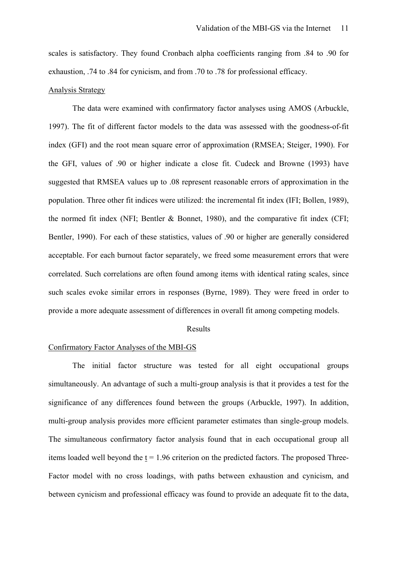scales is satisfactory. They found Cronbach alpha coefficients ranging from .84 to .90 for exhaustion, .74 to .84 for cynicism, and from .70 to .78 for professional efficacy.

## Analysis Strategy

 The data were examined with confirmatory factor analyses using AMOS (Arbuckle, 1997). The fit of different factor models to the data was assessed with the goodness-of-fit index (GFI) and the root mean square error of approximation (RMSEA; Steiger, 1990). For the GFI, values of .90 or higher indicate a close fit. Cudeck and Browne (1993) have suggested that RMSEA values up to .08 represent reasonable errors of approximation in the population. Three other fit indices were utilized: the incremental fit index (IFI; Bollen, 1989), the normed fit index (NFI; Bentler & Bonnet, 1980), and the comparative fit index (CFI; Bentler, 1990). For each of these statistics, values of .90 or higher are generally considered acceptable. For each burnout factor separately, we freed some measurement errors that were correlated. Such correlations are often found among items with identical rating scales, since such scales evoke similar errors in responses (Byrne, 1989). They were freed in order to provide a more adequate assessment of differences in overall fit among competing models.

#### Results

## Confirmatory Factor Analyses of the MBI-GS

 The initial factor structure was tested for all eight occupational groups simultaneously. An advantage of such a multi-group analysis is that it provides a test for the significance of any differences found between the groups (Arbuckle, 1997). In addition, multi-group analysis provides more efficient parameter estimates than single-group models. The simultaneous confirmatory factor analysis found that in each occupational group all items loaded well beyond the  $t = 1.96$  criterion on the predicted factors. The proposed Three-Factor model with no cross loadings, with paths between exhaustion and cynicism, and between cynicism and professional efficacy was found to provide an adequate fit to the data,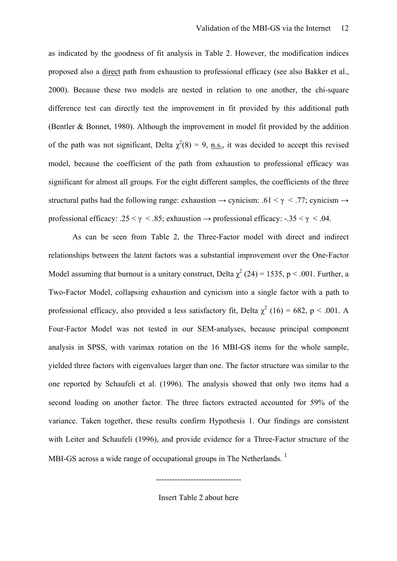as indicated by the goodness of fit analysis in Table 2. However, the modification indices proposed also a direct path from exhaustion to professional efficacy (see also Bakker et al., 2000). Because these two models are nested in relation to one another, the chi-square difference test can directly test the improvement in fit provided by this additional path (Bentler & Bonnet, 1980). Although the improvement in model fit provided by the addition of the path was not significant, Delta  $\chi^2(8) = 9$ , <u>n.s.</u>, it was decided to accept this revised model, because the coefficient of the path from exhaustion to professional efficacy was significant for almost all groups. For the eight different samples, the coefficients of the three structural paths had the following range: exhaustion  $\rightarrow$  cynicism: .61 <  $\gamma$  < .77; cynicism  $\rightarrow$ professional efficacy: .25 <  $\gamma$  < .85; exhaustion  $\rightarrow$  professional efficacy: -.35 <  $\gamma$  < .04.

 As can be seen from Table 2, the Three-Factor model with direct and indirect relationships between the latent factors was a substantial improvement over the One-Factor Model assuming that burnout is a unitary construct, Delta  $\chi^2$  (24) = 1535, p < .001. Further, a Two-Factor Model, collapsing exhaustion and cynicism into a single factor with a path to professional efficacy, also provided a less satisfactory fit, Delta  $\chi^2$  (16) = 682, p < .001. A Four-Factor Model was not tested in our SEM-analyses, because principal component analysis in SPSS, with varimax rotation on the 16 MBI-GS items for the whole sample, yielded three factors with eigenvalues larger than one. The factor structure was similar to the one reported by Schaufeli et al. (1996). The analysis showed that only two items had a second loading on another factor. The three factors extracted accounted for 59% of the variance. Taken together, these results confirm Hypothesis 1. Our findings are consistent with Leiter and Schaufeli (1996), and provide evidence for a Three-Factor structure of the MBI-GS across a wide range of occupational groups in The Netherlands.<sup>1</sup>

Insert Table 2 about here

--------------------------------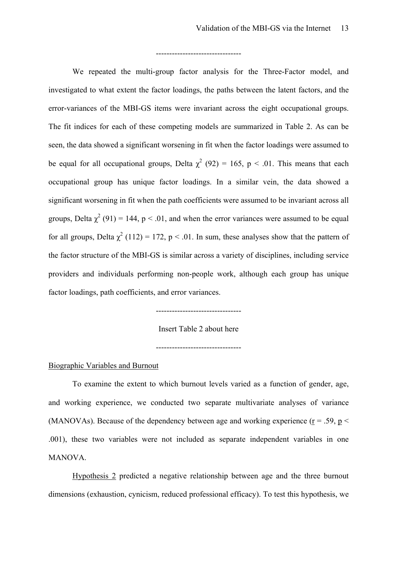#### --------------------------------

We repeated the multi-group factor analysis for the Three-Factor model, and investigated to what extent the factor loadings, the paths between the latent factors, and the error-variances of the MBI-GS items were invariant across the eight occupational groups. The fit indices for each of these competing models are summarized in Table 2. As can be seen, the data showed a significant worsening in fit when the factor loadings were assumed to be equal for all occupational groups, Delta  $\chi^2$  (92) = 165, p < .01. This means that each occupational group has unique factor loadings. In a similar vein, the data showed a significant worsening in fit when the path coefficients were assumed to be invariant across all groups, Delta  $\chi^2$  (91) = 144, p < .01, and when the error variances were assumed to be equal for all groups, Delta  $\chi^2$  (112) = 172, p < .01. In sum, these analyses show that the pattern of the factor structure of the MBI-GS is similar across a variety of disciplines, including service providers and individuals performing non-people work, although each group has unique factor loadings, path coefficients, and error variances.

--------------------------------

#### Insert Table 2 about here

--------------------------------

#### Biographic Variables and Burnout

 To examine the extent to which burnout levels varied as a function of gender, age, and working experience, we conducted two separate multivariate analyses of variance (MANOVAs). Because of the dependency between age and working experience ( $r = .59$ ,  $p <$ .001), these two variables were not included as separate independent variables in one MANOVA.

Hypothesis 2 predicted a negative relationship between age and the three burnout dimensions (exhaustion, cynicism, reduced professional efficacy). To test this hypothesis, we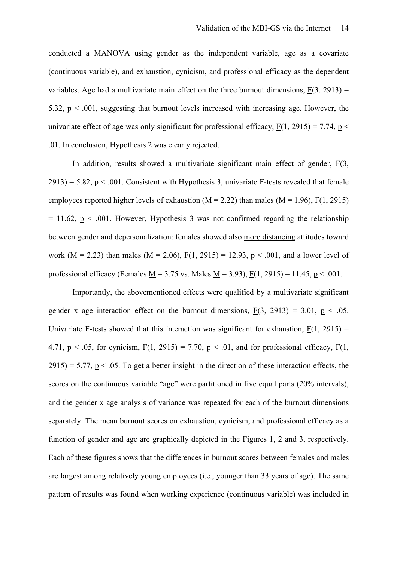conducted a MANOVA using gender as the independent variable, age as a covariate (continuous variable), and exhaustion, cynicism, and professional efficacy as the dependent variables. Age had a multivariate main effect on the three burnout dimensions,  $F(3, 2913) =$ 5.32,  $p < .001$ , suggesting that burnout levels increased with increasing age. However, the univariate effect of age was only significant for professional efficacy,  $F(1, 2915) = 7.74$ ,  $p <$ .01. In conclusion, Hypothesis 2 was clearly rejected.

 In addition, results showed a multivariate significant main effect of gender, F(3,  $2913$ ) = 5.82, p < .001. Consistent with Hypothesis 3, univariate F-tests revealed that female employees reported higher levels of exhaustion ( $M = 2.22$ ) than males ( $M = 1.96$ ),  $F(1, 2915)$  $= 11.62$ ,  $p < .001$ . However, Hypothesis 3 was not confirmed regarding the relationship between gender and depersonalization: females showed also more distancing attitudes toward work ( $M = 2.23$ ) than males ( $M = 2.06$ ),  $F(1, 2915) = 12.93$ ,  $p < .001$ , and a lower level of professional efficacy (Females  $M = 3.75$  vs. Males  $M = 3.93$ ),  $F(1, 2915) = 11.45$ ,  $p < .001$ .

 Importantly, the abovementioned effects were qualified by a multivariate significant gender x age interaction effect on the burnout dimensions,  $F(3, 2913) = 3.01$ ,  $p < .05$ . Univariate F-tests showed that this interaction was significant for exhaustion,  $F(1, 2915) =$ 4.71,  $p < .05$ , for cynicism,  $F(1, 2915) = 7.70$ ,  $p < .01$ , and for professional efficacy,  $F(1, 2915) = .01$  $2915$ ) = 5.77,  $p < 0.05$ . To get a better insight in the direction of these interaction effects, the scores on the continuous variable "age" were partitioned in five equal parts (20% intervals), and the gender x age analysis of variance was repeated for each of the burnout dimensions separately. The mean burnout scores on exhaustion, cynicism, and professional efficacy as a function of gender and age are graphically depicted in the Figures 1, 2 and 3, respectively. Each of these figures shows that the differences in burnout scores between females and males are largest among relatively young employees (i.e., younger than 33 years of age). The same pattern of results was found when working experience (continuous variable) was included in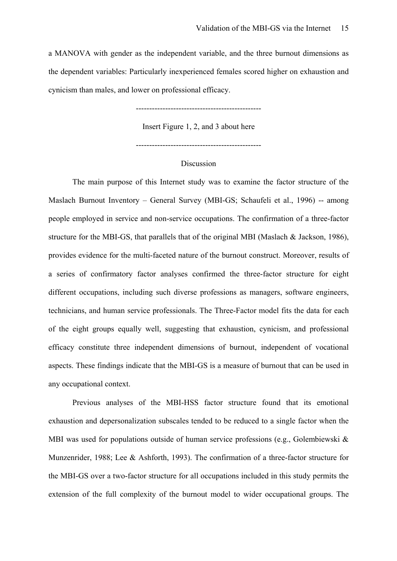a MANOVA with gender as the independent variable, and the three burnout dimensions as the dependent variables: Particularly inexperienced females scored higher on exhaustion and cynicism than males, and lower on professional efficacy.

-----------------------------------------------

Insert Figure 1, 2, and 3 about here

#### **Discussion**

 The main purpose of this Internet study was to examine the factor structure of the Maslach Burnout Inventory – General Survey (MBI-GS; Schaufeli et al., 1996) -- among people employed in service and non-service occupations. The confirmation of a three-factor structure for the MBI-GS, that parallels that of the original MBI (Maslach & Jackson, 1986), provides evidence for the multi-faceted nature of the burnout construct. Moreover, results of a series of confirmatory factor analyses confirmed the three-factor structure for eight different occupations, including such diverse professions as managers, software engineers, technicians, and human service professionals. The Three-Factor model fits the data for each of the eight groups equally well, suggesting that exhaustion, cynicism, and professional efficacy constitute three independent dimensions of burnout, independent of vocational aspects. These findings indicate that the MBI-GS is a measure of burnout that can be used in any occupational context.

 Previous analyses of the MBI-HSS factor structure found that its emotional exhaustion and depersonalization subscales tended to be reduced to a single factor when the MBI was used for populations outside of human service professions (e.g., Golembiewski & Munzenrider, 1988; Lee & Ashforth, 1993). The confirmation of a three-factor structure for the MBI-GS over a two-factor structure for all occupations included in this study permits the extension of the full complexity of the burnout model to wider occupational groups. The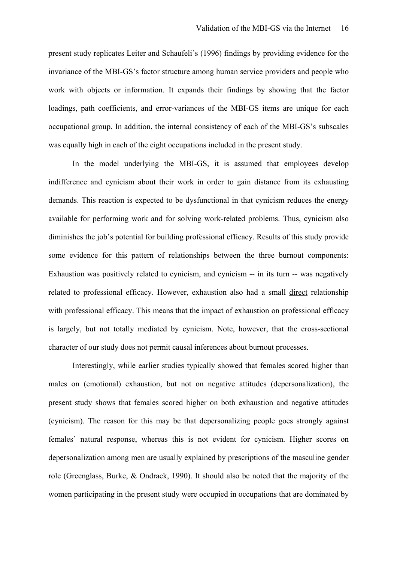present study replicates Leiter and Schaufeli's (1996) findings by providing evidence for the invariance of the MBI-GS's factor structure among human service providers and people who work with objects or information. It expands their findings by showing that the factor loadings, path coefficients, and error-variances of the MBI-GS items are unique for each occupational group. In addition, the internal consistency of each of the MBI-GS's subscales was equally high in each of the eight occupations included in the present study.

 In the model underlying the MBI-GS, it is assumed that employees develop indifference and cynicism about their work in order to gain distance from its exhausting demands. This reaction is expected to be dysfunctional in that cynicism reduces the energy available for performing work and for solving work-related problems. Thus, cynicism also diminishes the job's potential for building professional efficacy. Results of this study provide some evidence for this pattern of relationships between the three burnout components: Exhaustion was positively related to cynicism, and cynicism -- in its turn -- was negatively related to professional efficacy. However, exhaustion also had a small direct relationship with professional efficacy. This means that the impact of exhaustion on professional efficacy is largely, but not totally mediated by cynicism. Note, however, that the cross-sectional character of our study does not permit causal inferences about burnout processes.

 Interestingly, while earlier studies typically showed that females scored higher than males on (emotional) exhaustion, but not on negative attitudes (depersonalization), the present study shows that females scored higher on both exhaustion and negative attitudes (cynicism). The reason for this may be that depersonalizing people goes strongly against females' natural response, whereas this is not evident for cynicism. Higher scores on depersonalization among men are usually explained by prescriptions of the masculine gender role (Greenglass, Burke, & Ondrack, 1990). It should also be noted that the majority of the women participating in the present study were occupied in occupations that are dominated by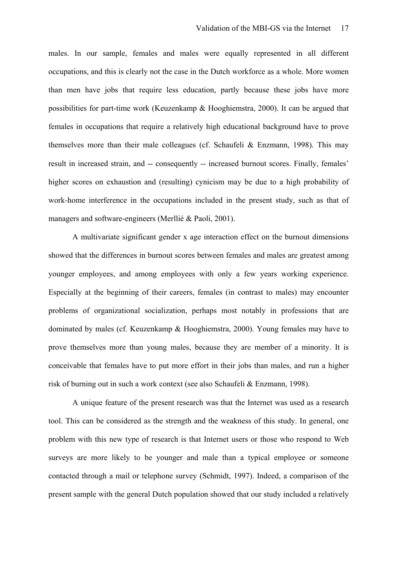males. In our sample, females and males were equally represented in all different occupations, and this is clearly not the case in the Dutch workforce as a whole. More women than men have jobs that require less education, partly because these jobs have more possibilities for part-time work (Keuzenkamp & Hooghiemstra, 2000). It can be argued that females in occupations that require a relatively high educational background have to prove themselves more than their male colleagues (cf. Schaufeli  $\&$  Enzmann, 1998). This may result in increased strain, and -- consequently -- increased burnout scores. Finally, females' higher scores on exhaustion and (resulting) cynicism may be due to a high probability of work-home interference in the occupations included in the present study, such as that of managers and software-engineers (Merllié & Paoli, 2001).

 A multivariate significant gender x age interaction effect on the burnout dimensions showed that the differences in burnout scores between females and males are greatest among younger employees, and among employees with only a few years working experience. Especially at the beginning of their careers, females (in contrast to males) may encounter problems of organizational socialization, perhaps most notably in professions that are dominated by males (cf. Keuzenkamp & Hooghiemstra, 2000). Young females may have to prove themselves more than young males, because they are member of a minority. It is conceivable that females have to put more effort in their jobs than males, and run a higher risk of burning out in such a work context (see also Schaufeli & Enzmann, 1998).

 A unique feature of the present research was that the Internet was used as a research tool. This can be considered as the strength and the weakness of this study. In general, one problem with this new type of research is that Internet users or those who respond to Web surveys are more likely to be younger and male than a typical employee or someone contacted through a mail or telephone survey (Schmidt, 1997). Indeed, a comparison of the present sample with the general Dutch population showed that our study included a relatively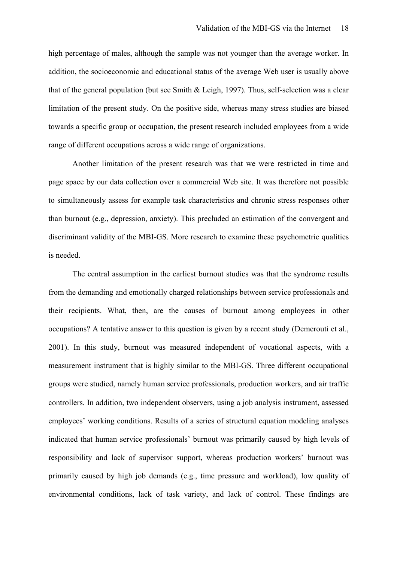high percentage of males, although the sample was not younger than the average worker. In addition, the socioeconomic and educational status of the average Web user is usually above that of the general population (but see Smith & Leigh, 1997). Thus, self-selection was a clear limitation of the present study. On the positive side, whereas many stress studies are biased towards a specific group or occupation, the present research included employees from a wide range of different occupations across a wide range of organizations.

 Another limitation of the present research was that we were restricted in time and page space by our data collection over a commercial Web site. It was therefore not possible to simultaneously assess for example task characteristics and chronic stress responses other than burnout (e.g., depression, anxiety). This precluded an estimation of the convergent and discriminant validity of the MBI-GS. More research to examine these psychometric qualities is needed.

The central assumption in the earliest burnout studies was that the syndrome results from the demanding and emotionally charged relationships between service professionals and their recipients. What, then, are the causes of burnout among employees in other occupations? A tentative answer to this question is given by a recent study (Demerouti et al., 2001). In this study, burnout was measured independent of vocational aspects, with a measurement instrument that is highly similar to the MBI-GS. Three different occupational groups were studied, namely human service professionals, production workers, and air traffic controllers. In addition, two independent observers, using a job analysis instrument, assessed employees' working conditions. Results of a series of structural equation modeling analyses indicated that human service professionals' burnout was primarily caused by high levels of responsibility and lack of supervisor support, whereas production workers' burnout was primarily caused by high job demands (e.g., time pressure and workload), low quality of environmental conditions, lack of task variety, and lack of control. These findings are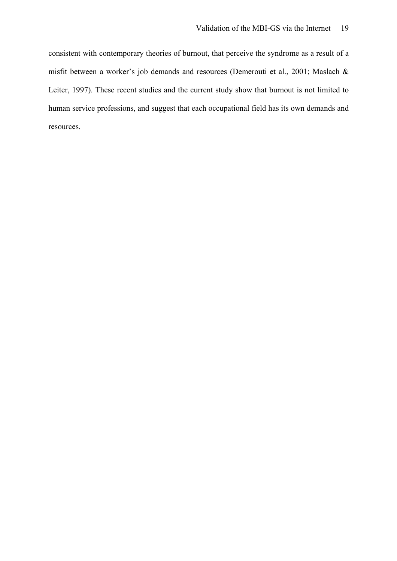consistent with contemporary theories of burnout, that perceive the syndrome as a result of a misfit between a worker's job demands and resources (Demerouti et al., 2001; Maslach & Leiter, 1997). These recent studies and the current study show that burnout is not limited to human service professions, and suggest that each occupational field has its own demands and resources.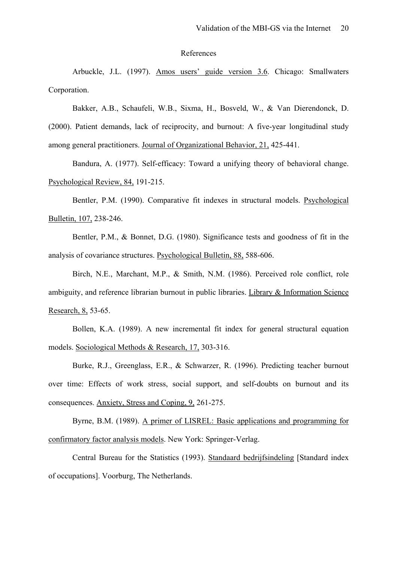#### References

 Arbuckle, J.L. (1997). Amos users' guide version 3.6. Chicago: Smallwaters Corporation.

Bakker, A.B., Schaufeli, W.B., Sixma, H., Bosveld, W., & Van Dierendonck, D. (2000). Patient demands, lack of reciprocity, and burnout: A five-year longitudinal study among general practitioners. Journal of Organizational Behavior, 21, 425-441.

 Bandura, A. (1977). Self-efficacy: Toward a unifying theory of behavioral change. Psychological Review, 84, 191-215.

 Bentler, P.M. (1990). Comparative fit indexes in structural models. Psychological Bulletin, 107, 238-246.

 Bentler, P.M., & Bonnet, D.G. (1980). Significance tests and goodness of fit in the analysis of covariance structures. Psychological Bulletin, 88, 588-606.

 Birch, N.E., Marchant, M.P., & Smith, N.M. (1986). Perceived role conflict, role ambiguity, and reference librarian burnout in public libraries. Library & Information Science Research, 8, 53-65.

 Bollen, K.A. (1989). A new incremental fit index for general structural equation models. Sociological Methods & Research, 17, 303-316.

 Burke, R.J., Greenglass, E.R., & Schwarzer, R. (1996). Predicting teacher burnout over time: Effects of work stress, social support, and self-doubts on burnout and its consequences. Anxiety, Stress and Coping, 9, 261-275.

 Byrne, B.M. (1989). A primer of LISREL: Basic applications and programming for confirmatory factor analysis models. New York: Springer-Verlag.

 Central Bureau for the Statistics (1993). Standaard bedrijfsindeling [Standard index of occupations]. Voorburg, The Netherlands.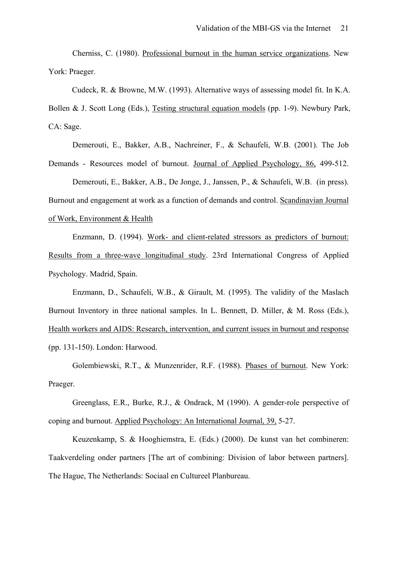Cherniss, C. (1980). Professional burnout in the human service organizations. New York: Praeger.

Cudeck, R. & Browne, M.W. (1993). Alternative ways of assessing model fit. In K.A. Bollen & J. Scott Long (Eds.), Testing structural equation models (pp. 1-9). Newbury Park, CA: Sage.

 Demerouti, E., Bakker, A.B., Nachreiner, F., & Schaufeli, W.B. (2001). The Job Demands - Resources model of burnout. Journal of Applied Psychology, 86, 499-512.

 Demerouti, E., Bakker, A.B., De Jonge, J., Janssen, P., & Schaufeli, W.B. (in press). Burnout and engagement at work as a function of demands and control. Scandinavian Journal of Work, Environment & Health

 Enzmann, D. (1994). Work- and client-related stressors as predictors of burnout: Results from a three-wave longitudinal study. 23rd International Congress of Applied Psychology. Madrid, Spain.

 Enzmann, D., Schaufeli, W.B., & Girault, M. (1995). The validity of the Maslach Burnout Inventory in three national samples. In L. Bennett, D. Miller, & M. Ross (Eds.), Health workers and AIDS: Research, intervention, and current issues in burnout and response (pp. 131-150). London: Harwood.

 Golembiewski, R.T., & Munzenrider, R.F. (1988). Phases of burnout. New York: Praeger.

 Greenglass, E.R., Burke, R.J., & Ondrack, M (1990). A gender-role perspective of coping and burnout. Applied Psychology: An International Journal, 39, 5-27.

 Keuzenkamp, S. & Hooghiemstra, E. (Eds.) (2000). De kunst van het combineren: Taakverdeling onder partners [The art of combining: Division of labor between partners]. The Hague, The Netherlands: Sociaal en Cultureel Planbureau.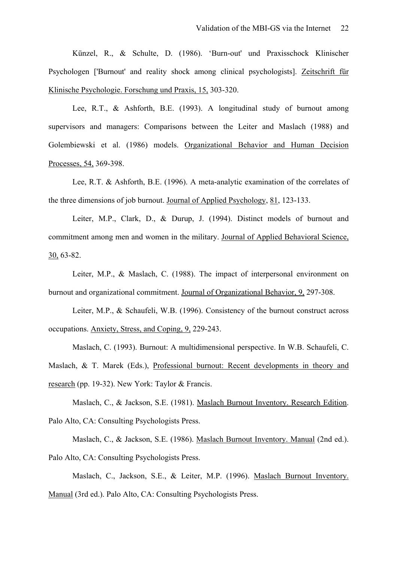Künzel, R., & Schulte, D. (1986). 'Burn-out' und Praxisschock Klinischer Psychologen ['Burnout' and reality shock among clinical psychologists]. Zeitschrift für Klinische Psychologie. Forschung und Praxis, 15, 303-320.

 Lee, R.T., & Ashforth, B.E. (1993). A longitudinal study of burnout among supervisors and managers: Comparisons between the Leiter and Maslach (1988) and Golembiewski et al. (1986) models. Organizational Behavior and Human Decision Processes, 54, 369-398.

 Lee, R.T. & Ashforth, B.E. (1996). A meta-analytic examination of the correlates of the three dimensions of job burnout. Journal of Applied Psychology, 81, 123-133.

Leiter, M.P., Clark, D., & Durup, J. (1994). Distinct models of burnout and commitment among men and women in the military. Journal of Applied Behavioral Science, 30, 63-82.

Leiter, M.P., & Maslach, C. (1988). The impact of interpersonal environment on burnout and organizational commitment. Journal of Organizational Behavior, 9, 297-308.

 Leiter, M.P., & Schaufeli, W.B. (1996). Consistency of the burnout construct across occupations. Anxiety, Stress, and Coping, 9, 229-243.

 Maslach, C. (1993). Burnout: A multidimensional perspective. In W.B. Schaufeli, C. Maslach, & T. Marek (Eds.), Professional burnout: Recent developments in theory and research (pp. 19-32). New York: Taylor & Francis.

Maslach, C., & Jackson, S.E. (1981). Maslach Burnout Inventory. Research Edition. Palo Alto, CA: Consulting Psychologists Press.

 Maslach, C., & Jackson, S.E. (1986). Maslach Burnout Inventory. Manual (2nd ed.). Palo Alto, CA: Consulting Psychologists Press.

 Maslach, C., Jackson, S.E., & Leiter, M.P. (1996). Maslach Burnout Inventory. Manual (3rd ed.). Palo Alto, CA: Consulting Psychologists Press.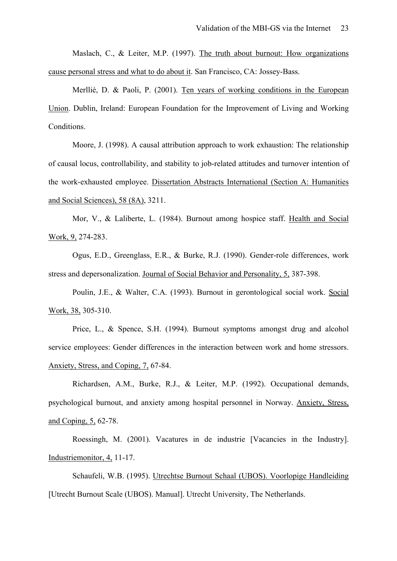Maslach, C., & Leiter, M.P. (1997). The truth about burnout: How organizations cause personal stress and what to do about it. San Francisco, CA: Jossey-Bass.

Merllié, D. & Paoli, P. (2001). Ten years of working conditions in the European Union. Dublin, Ireland: European Foundation for the Improvement of Living and Working Conditions.

 Moore, J. (1998). A causal attribution approach to work exhaustion: The relationship of causal locus, controllability, and stability to job-related attitudes and turnover intention of the work-exhausted employee. Dissertation Abstracts International (Section A: Humanities and Social Sciences), 58 (8A), 3211.

 Mor, V., & Laliberte, L. (1984). Burnout among hospice staff. Health and Social Work, 9, 274-283.

 Ogus, E.D., Greenglass, E.R., & Burke, R.J. (1990). Gender-role differences, work stress and depersonalization. Journal of Social Behavior and Personality, 5, 387-398.

 Poulin, J.E., & Walter, C.A. (1993). Burnout in gerontological social work. Social Work, 38, 305-310.

 Price, L., & Spence, S.H. (1994). Burnout symptoms amongst drug and alcohol service employees: Gender differences in the interaction between work and home stressors. Anxiety, Stress, and Coping, 7, 67-84.

 Richardsen, A.M., Burke, R.J., & Leiter, M.P. (1992). Occupational demands, psychological burnout, and anxiety among hospital personnel in Norway. Anxiety, Stress, and Coping, 5, 62-78.

 Roessingh, M. (2001). Vacatures in de industrie [Vacancies in the Industry]. Industriemonitor, 4, 11-17.

 Schaufeli, W.B. (1995). Utrechtse Burnout Schaal (UBOS). Voorlopige Handleiding [Utrecht Burnout Scale (UBOS). Manual]. Utrecht University, The Netherlands.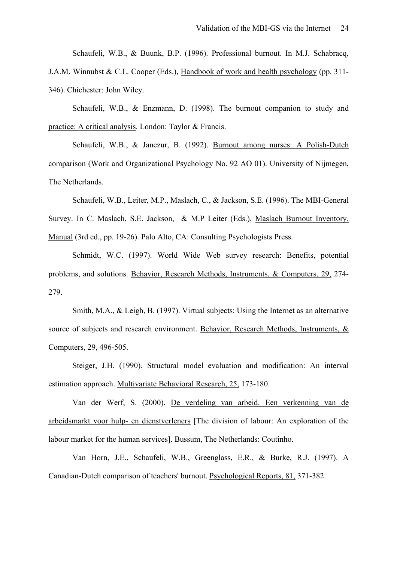Schaufeli, W.B., & Buunk, B.P. (1996). Professional burnout. In M.J. Schabracq, J.A.M. Winnubst & C.L. Cooper (Eds.), Handbook of work and health psychology (pp. 311- 346). Chichester: John Wiley.

 Schaufeli, W.B., & Enzmann, D. (1998). The burnout companion to study and practice: A critical analysis. London: Taylor & Francis.

 Schaufeli, W.B., & Janczur, B. (1992). Burnout among nurses: A Polish-Dutch comparison (Work and Organizational Psychology No. 92 AO 01). University of Nijmegen, The Netherlands.

 Schaufeli, W.B., Leiter, M.P., Maslach, C., & Jackson, S.E. (1996). The MBI-General Survey. In C. Maslach, S.E. Jackson, & M.P Leiter (Eds.), Maslach Burnout Inventory. Manual (3rd ed., pp. 19-26). Palo Alto, CA: Consulting Psychologists Press.

 Schmidt, W.C. (1997). World Wide Web survey research: Benefits, potential problems, and solutions. Behavior, Research Methods, Instruments, & Computers, 29, 274- 279.

 Smith, M.A., & Leigh, B. (1997). Virtual subjects: Using the Internet as an alternative source of subjects and research environment. Behavior, Research Methods, Instruments, & Computers, 29, 496-505.

 Steiger, J.H. (1990). Structural model evaluation and modification: An interval estimation approach. Multivariate Behavioral Research, 25, 173-180.

Van der Werf, S. (2000). De verdeling van arbeid. Een verkenning van de arbeidsmarkt voor hulp- en dienstverleners [The division of labour: An exploration of the labour market for the human services]. Bussum, The Netherlands: Coutinho.

 Van Horn, J.E., Schaufeli, W.B., Greenglass, E.R., & Burke, R.J. (1997). A Canadian-Dutch comparison of teachers' burnout. Psychological Reports, 81, 371-382.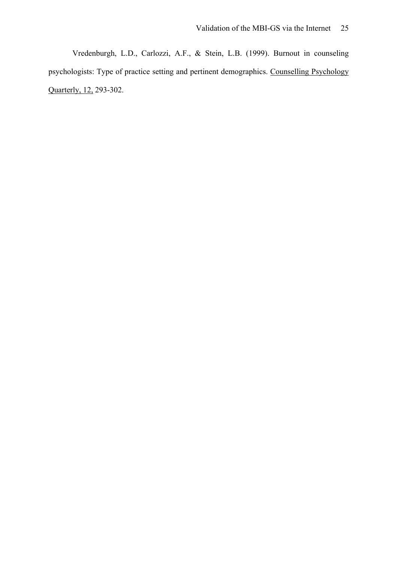Vredenburgh, L.D., Carlozzi, A.F., & Stein, L.B. (1999). Burnout in counseling psychologists: Type of practice setting and pertinent demographics. Counselling Psychology Quarterly, 12, 293-302.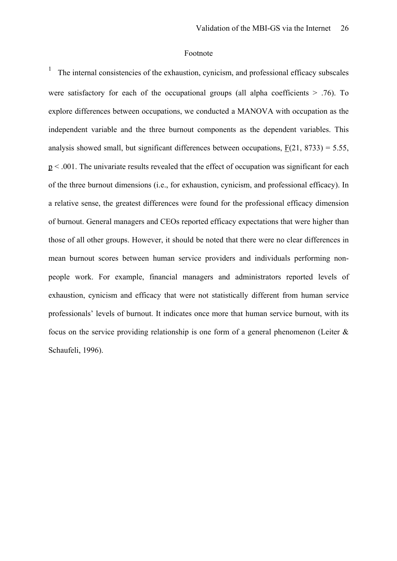#### Footnote

1 The internal consistencies of the exhaustion, cynicism, and professional efficacy subscales were satisfactory for each of the occupational groups (all alpha coefficients  $> .76$ ). To explore differences between occupations, we conducted a MANOVA with occupation as the independent variable and the three burnout components as the dependent variables. This analysis showed small, but significant differences between occupations,  $F(21, 8733) = 5.55$ ,  $p < .001$ . The univariate results revealed that the effect of occupation was significant for each of the three burnout dimensions (i.e., for exhaustion, cynicism, and professional efficacy). In a relative sense, the greatest differences were found for the professional efficacy dimension of burnout. General managers and CEOs reported efficacy expectations that were higher than those of all other groups. However, it should be noted that there were no clear differences in mean burnout scores between human service providers and individuals performing nonpeople work. For example, financial managers and administrators reported levels of exhaustion, cynicism and efficacy that were not statistically different from human service professionals' levels of burnout. It indicates once more that human service burnout, with its focus on the service providing relationship is one form of a general phenomenon (Leiter  $\&$ Schaufeli, 1996).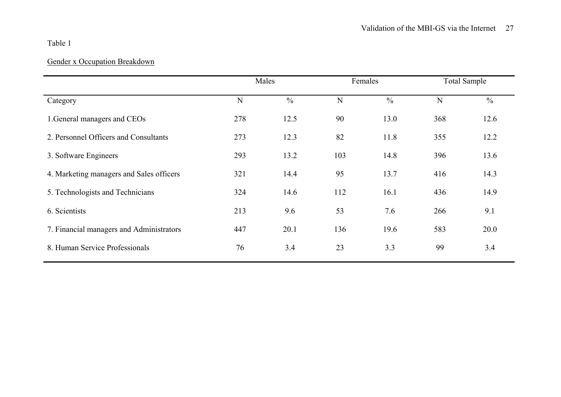## Table 1

# Gender x Occupation Breakdown

|                                          | Males |               | Females |               | <b>Total Sample</b> |               |
|------------------------------------------|-------|---------------|---------|---------------|---------------------|---------------|
| Category                                 | N     | $\frac{0}{0}$ | N       | $\frac{0}{0}$ | N                   | $\frac{0}{0}$ |
| 1. General managers and CEOs             | 278   | 12.5          | 90      | 13.0          | 368                 | 12.6          |
| 2. Personnel Officers and Consultants    | 273   | 12.3          | 82      | 11.8          | 355                 | 12.2          |
| 3. Software Engineers                    | 293   | 13.2          | 103     | 14.8          | 396                 | 13.6          |
| 4. Marketing managers and Sales officers | 321   | 14.4          | 95      | 13.7          | 416                 | 14.3          |
| 5. Technologists and Technicians         | 324   | 14.6          | 112     | 16.1          | 436                 | 14.9          |
| 6. Scientists                            | 213   | 9.6           | 53      | 7.6           | 266                 | 9.1           |
| 7. Financial managers and Administrators | 447   | 20.1          | 136     | 19.6          | 583                 | 20.0          |
| 8. Human Service Professionals           | 76    | 3.4           | 23      | 3.3           | 99                  | 3.4           |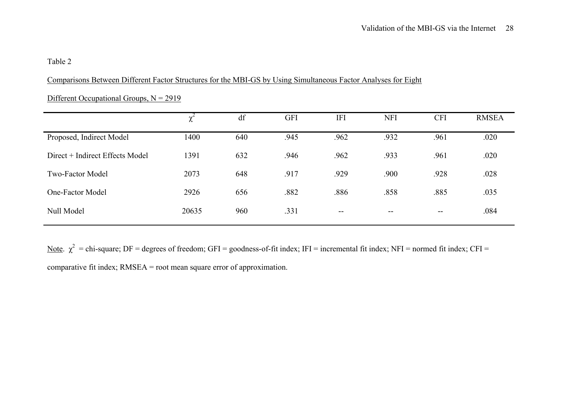## Table 2

## Comparisons Between Different Factor Structures for the MBI-GS by Using Simultaneous Factor Analyses for Eight

|                                 | λ     | df  | <b>GFI</b> | <b>IFI</b> | <b>NFI</b> | <b>CFI</b> | <b>RMSEA</b> |
|---------------------------------|-------|-----|------------|------------|------------|------------|--------------|
| Proposed, Indirect Model        | 1400  | 640 | .945       | .962       | .932       | .961       | .020         |
| Direct + Indirect Effects Model | 1391  | 632 | .946       | .962       | .933       | .961       | .020         |
| <b>Two-Factor Model</b>         | 2073  | 648 | .917       | .929       | .900       | .928       | .028         |
| One-Factor Model                | 2926  | 656 | .882       | .886       | .858       | .885       | .035         |
| Null Model                      | 20635 | 960 | .331       | $- -$      | $- -$      | $- -$      | .084         |

## Different Occupational Groups,  $N = 2919$

Note.  $\chi^2$  = chi-square; DF = degrees of freedom; GFI = goodness-of-fit index; IFI = incremental fit index; NFI = normed fit index; CFI = comparative fit index; RMSEA = root mean square error of approximation.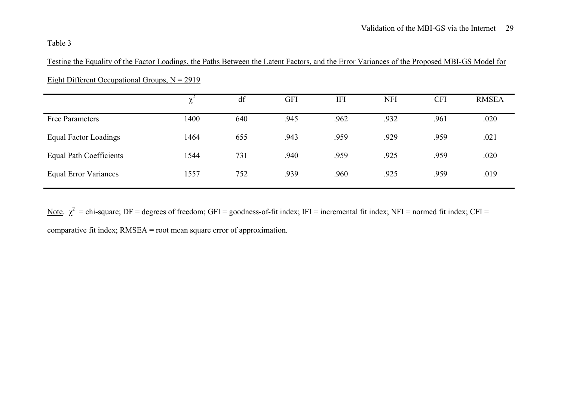## Table 3

Testing the Equality of the Factor Loadings, the Paths Between the Latent Factors, and the Error Variances of the Proposed MBI-GS Model for

|                                | ∼    | df  | <b>GFI</b> | <b>IFI</b> | <b>NFI</b> | <b>CFI</b> | <b>RMSEA</b> |
|--------------------------------|------|-----|------------|------------|------------|------------|--------------|
| Free Parameters                | 1400 | 640 | .945       | .962       | .932       | .961       | .020         |
| <b>Equal Factor Loadings</b>   | 1464 | 655 | .943       | .959       | .929       | .959       | .021         |
| <b>Equal Path Coefficients</b> | 1544 | 731 | .940       | .959       | .925       | .959       | .020         |
| <b>Equal Error Variances</b>   | 1557 | 752 | .939       | .960       | .925       | .959       | .019         |

Eight Different Occupational Groups,  $N = 2919$ 

Note.  $\chi^2$  = chi-square; DF = degrees of freedom; GFI = goodness-of-fit index; IFI = incremental fit index; NFI = normed fit index; CFI = comparative fit index; RMSEA = root mean square error of approximation.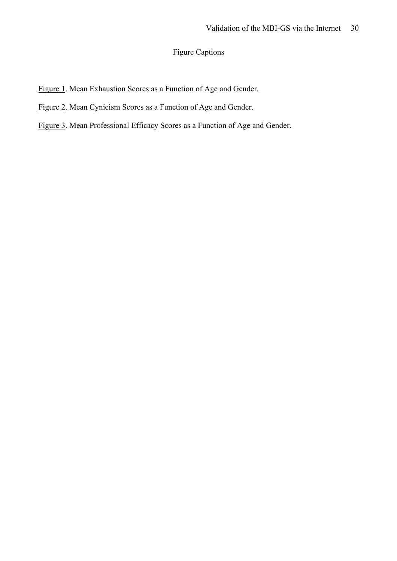# Figure Captions

- Figure 1. Mean Exhaustion Scores as a Function of Age and Gender.
- Figure 2. Mean Cynicism Scores as a Function of Age and Gender.
- Figure 3. Mean Professional Efficacy Scores as a Function of Age and Gender.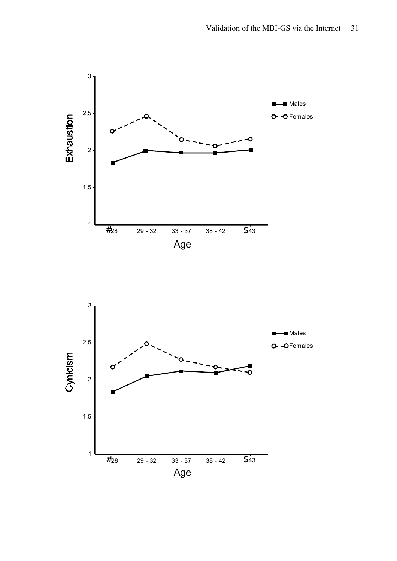